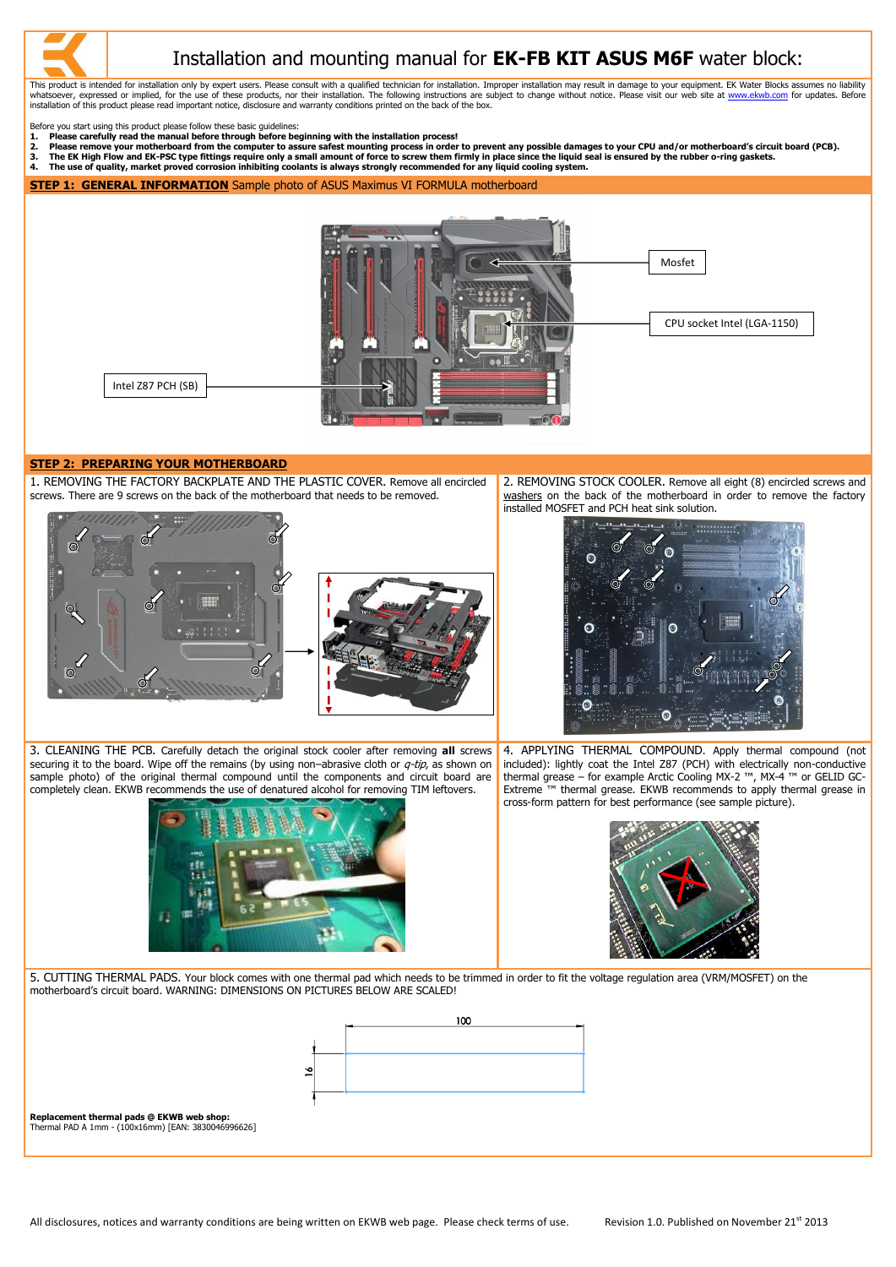This product is intended for installation only by expert users. Please consult with a qualified technician for installation. Improper installation may result in damage to your equipment. EK Water Blocks assumes no liabilit whatsoever, expressed or implied, for the use of these products, nor their installation. The following instructions are subject to change without notice. Please visit our web site at [www.ekwb.com](http://www.ekwb.com/) for updates. Before installation of this product please read important notice, disclosure and warranty conditions printed on the back of the box.

Before you start using this product please follow these basic guidelines:

- **1. Please carefully read the manual before through before beginning with the installation process!**
- 2. Please remove your motherboard from the computer to assure safest mounting process in order to prevent any possible damages to your CPU and/or motherboard's circuit board (PCB).<br>3. The EK High Flow and EK-PSC type fitti
- **3. The EK High Flow and EK-PSC type fittings require only a small amount of force to screw them firmly in place since the liquid seal is ensured by the rubber o-ring gaskets.**
- **4. The use of quality, market proved corrosion inhibiting coolants is always strongly recommended for any liquid cooling system.**

**STEP 1: GENERAL INFORMATION** Sample photo of ASUS Maximus VI FORMULA motherboard

# **STEP 2: PREPARING YOUR MOTHERBOARD**

1. REMOVING THE FACTORY BACKPLATE AND THE PLASTIC COVER. Remove all encircled screws. There are 9 screws on the back of the motherboard that needs to be removed.





2. REMOVING STOCK COOLER. Remove all eight (8) encircled screws and washers on the back of the motherboard in order to remove the factory installed MOSFET and PCH heat sink solution.



3. CLEANING THE PCB. Carefully detach the original stock cooler after removing **all** screws securing it to the board. Wipe off the remains (by using non-abrasive cloth or  $q$ -tip, as shown on sample photo) of the original thermal compound until the components and circuit board are completely clean. EKWB recommends the use of denatured alcohol for removing TIM leftovers.



4. APPLYING THERMAL COMPOUND. Apply thermal compound (not included): lightly coat the Intel Z87 (PCH) with electrically non-conductive thermal grease – for example Arctic Cooling MX-2 ™, MX-4 ™ or GELID GC-Extreme ™ thermal grease. EKWB recommends to apply thermal grease in cross-form pattern for best performance (see sample picture).





5. CUTTING THERMAL PADS. Your block comes with one thermal pad which needs to be trimmed in order to fit the voltage regulation area (VRM/MOSFET) on the motherboard's circuit board. WARNING: DIMENSIONS ON PICTURES BELOW ARE SCALED!



### **Replacement thermal pads @ EKWB web shop:**

Thermal PAD A 1mm - (100x16mm) [EAN: 3830046996626]

All disclosures, notices and warranty conditions are being written on EKWB web page. Please check terms of use. Revision 1.0. Published on November 21<sup>st</sup> 2013





# Installation and mounting manual for **EK-FB KIT ASUS M6F** water block: